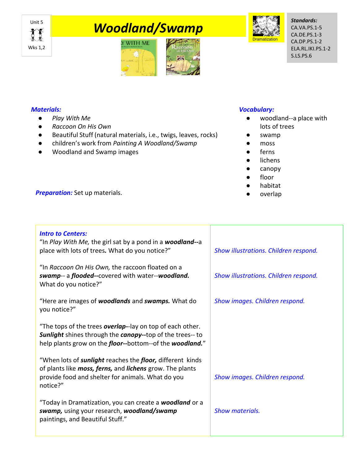

# **This Moodland/Swamp**





*Standards:* CA.VA.PS.1-5 CA.DE.PS.1-3 CA.DP.PS.1-2 ELA.RL.IKI.PS.1-2 S.LS.PS.6

## *Materials:*

- *Play With Me*
- *Raccoon On His Own*
- Beautiful Stuff (natural materials, i.e., twigs, leaves, rocks)
- children's work from *Painting A Woodland/Swamp*
- Woodland and Swamp images

## *Vocabulary:*

- woodland--a place with lots of trees
- swamp
- moss
- ferns
- lichens
- canopy
- floor
- habitat
- 

**Preparation:** Set up materials. **All and the contract of the contract of the contract of the contract of the contract of the contract of the contract of the contract of the contract of the contract of the contract of the** 

# *Intro to Centers:*

"In *Play With Me,* the girl sat by a pond in a *woodland--*a place with lots of trees*.* What do you notice?"

"In *Raccoon On His Own,* the raccoon floated on a *swamp*-- a *flooded--*covered with water--*woodland.*  What do you notice?"

"Here are images of *woodlands* and *swamps.* What do you notice?"

"The tops of the trees *overlap-*-lay on top of each other. *Sunlight* shines through the *canopy--*top of the trees-- to help plants grow on the *floor--*bottom--of the *woodland.*"

"When lots of *sunlight* reaches the *floor,* different kinds of plants like *moss, ferns,* and *lichens* grow. The plants provide food and shelter for animals. What do you notice?"

"Today in Dramatization, you can create a *woodland* or a *swamp,* using your research, *woodland/swamp* paintings, and Beautiful Stuff."

*Show illustrations. Children respond.* 

*Show illustrations. Children respond.* 

*Show images. Children respond.* 

*Show images. Children respond.* 

*Show materials.*